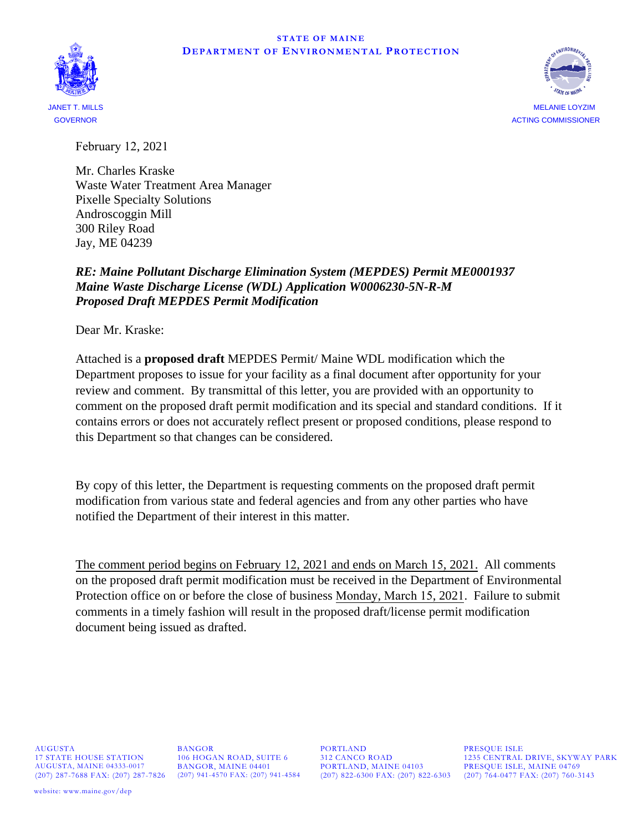#### **STATE OF MAINE DEPARTMENT OF ENVIRONMENTAL PROTECTION**





MELANIE LOYZIM ACTING COMMISSIONER

February 12, 2021

Mr. Charles Kraske Waste Water Treatment Area Manager Pixelle Specialty Solutions Androscoggin Mill 300 Riley Road Jay, ME 04239

# *RE: Maine Pollutant Discharge Elimination System (MEPDES) Permit ME0001937 Maine Waste Discharge License (WDL) Application W0006230-5N-R-M Proposed Draft MEPDES Permit Modification*

Dear Mr. Kraske:

Attached is a **proposed draft** MEPDES Permit/ Maine WDL modification which the Department proposes to issue for your facility as a final document after opportunity for your review and comment. By transmittal of this letter, you are provided with an opportunity to comment on the proposed draft permit modification and its special and standard conditions. If it contains errors or does not accurately reflect present or proposed conditions, please respond to this Department so that changes can be considered.

By copy of this letter, the Department is requesting comments on the proposed draft permit modification from various state and federal agencies and from any other parties who have notified the Department of their interest in this matter.

The comment period begins on February 12, 2021 and ends on March 15, 2021. All comments on the proposed draft permit modification must be received in the Department of Environmental Protection office on or before the close of business Monday, March 15, 2021. Failure to submit comments in a timely fashion will result in the proposed draft/license permit modification document being issued as drafted.

AUGUSTA 17 STATE HOUSE STATION AUGUSTA, MAINE 04333-0017 (207) 287-7688 FAX: (207) 287-7826 (207) 941-4570 FAX: (207) 941-4584

BANGOR 106 HOGAN ROAD, SUITE 6 BANGOR, MAINE 04401

PORTLAND 312 CANCO ROAD PORTLAND, MAINE 04103 (207) 822-6300 FAX: (207) 822-6303 (207) 764-0477 FAX: (207) 760-3143

PRESQUE ISLE 1235 CENTRAL DRIVE, SKYWAY PARK PRESQUE ISLE, MAINE 04769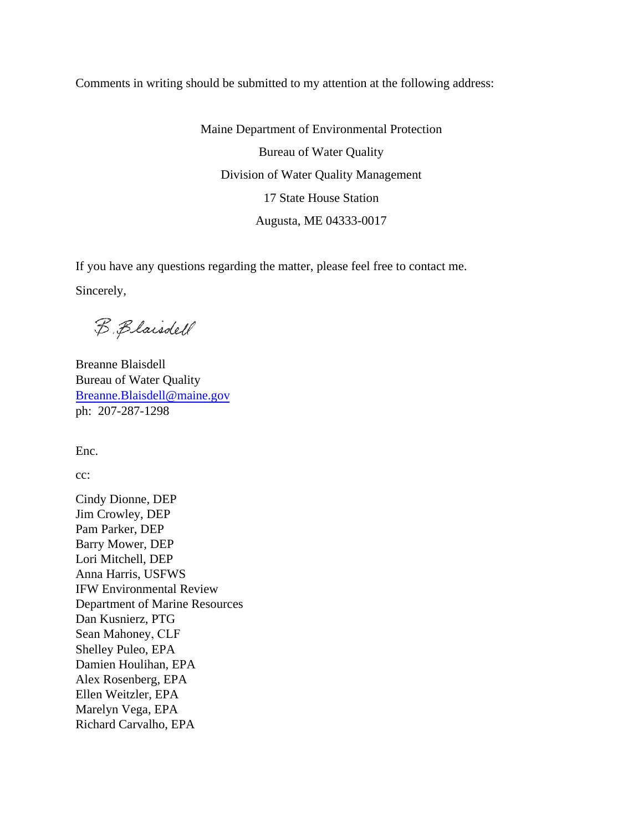Comments in writing should be submitted to my attention at the following address:

Maine Department of Environmental Protection Bureau of Water Quality Division of Water Quality Management 17 State House Station Augusta, ME 04333-0017

If you have any questions regarding the matter, please feel free to contact me. Sincerely,

B. Blaisdell

Breanne Blaisdell Bureau of Water Quality [Breanne.Blaisdell@maine.gov](mailto:Breanne.Blaisdell@maine.gov) ph: 207-287-1298

Enc.

cc:

Cindy Dionne, DEP Jim Crowley, DEP Pam Parker, DEP Barry Mower, DEP Lori Mitchell, DEP Anna Harris, USFWS IFW Environmental Review Department of Marine Resources Dan Kusnierz, PTG Sean Mahoney, CLF Shelley Puleo, EPA Damien Houlihan, EPA Alex Rosenberg, EPA Ellen Weitzler, EPA Marelyn Vega, EPA Richard Carvalho, EPA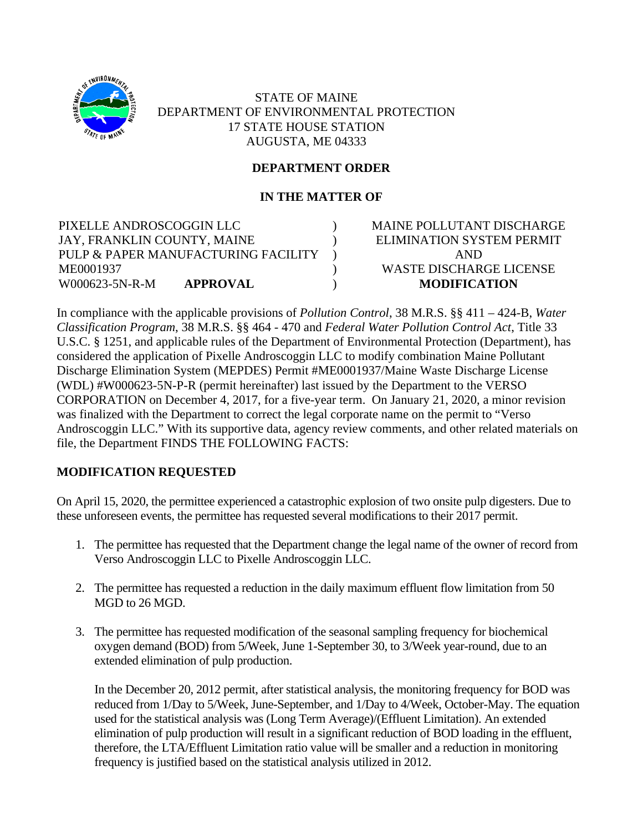

STATE OF MAINE DEPARTMENT OF ENVIRONMENTAL PROTECTION 17 STATE HOUSE STATION AUGUSTA, ME 04333

# **DEPARTMENT ORDER**

# **IN THE MATTER OF**

 $\lambda$  $\lambda$ )  $\lambda$ 

PIXELLE ANDROSCOGGIN LLC JAY, FRANKLIN COUNTY, MAINE PULP & PAPER MANUFACTURING FACILITY ME0001937 W000623-5N-R-M **APPROVAL**

MAINE POLLUTANT DISCHARGE ELIMINATION SYSTEM PERMIT AND WASTE DISCHARGE LICENSE **MODIFICATION**

In compliance with the applicable provisions of *Pollution Control*, 38 M.R.S. §§ 411 – 424-B, *Water Classification Program*, 38 M.R.S. §§ 464 - 470 and *Federal Water Pollution Control Act*, Title 33 U.S.C. § 1251, and applicable rules of the Department of Environmental Protection (Department), has considered the application of Pixelle Androscoggin LLC to modify combination Maine Pollutant Discharge Elimination System (MEPDES) Permit #ME0001937/Maine Waste Discharge License (WDL) #W000623-5N-P-R (permit hereinafter) last issued by the Department to the VERSO CORPORATION on December 4, 2017, for a five-year term. On January 21, 2020, a minor revision was finalized with the Department to correct the legal corporate name on the permit to "Verso Androscoggin LLC." With its supportive data, agency review comments, and other related materials on file, the Department FINDS THE FOLLOWING FACTS:

# **MODIFICATION REQUESTED**

On April 15, 2020, the permittee experienced a catastrophic explosion of two onsite pulp digesters. Due to these unforeseen events, the permittee has requested several modifications to their 2017 permit.

- 1. The permittee has requested that the Department change the legal name of the owner of record from Verso Androscoggin LLC to Pixelle Androscoggin LLC.
- 2. The permittee has requested a reduction in the daily maximum effluent flow limitation from 50 MGD to 26 MGD.
- 3. The permittee has requested modification of the seasonal sampling frequency for biochemical oxygen demand (BOD) from 5/Week, June 1-September 30, to 3/Week year-round, due to an extended elimination of pulp production.

In the December 20, 2012 permit, after statistical analysis, the monitoring frequency for BOD was reduced from 1/Day to 5/Week, June-September, and 1/Day to 4/Week, October-May. The equation used for the statistical analysis was (Long Term Average)/(Effluent Limitation). An extended elimination of pulp production will result in a significant reduction of BOD loading in the effluent, therefore, the LTA/Effluent Limitation ratio value will be smaller and a reduction in monitoring frequency is justified based on the statistical analysis utilized in 2012.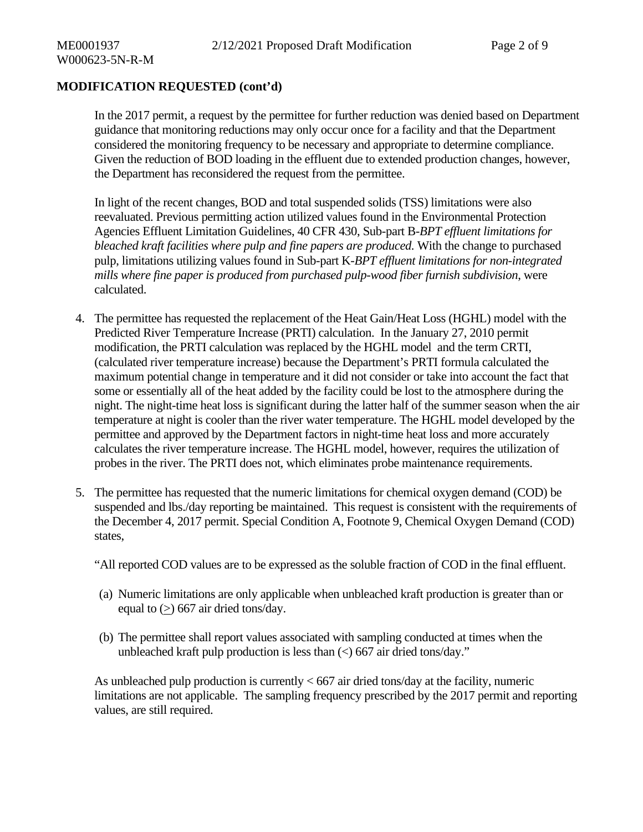# **MODIFICATION REQUESTED (cont'd)**

In the 2017 permit, a request by the permittee for further reduction was denied based on Department guidance that monitoring reductions may only occur once for a facility and that the Department considered the monitoring frequency to be necessary and appropriate to determine compliance. Given the reduction of BOD loading in the effluent due to extended production changes, however, the Department has reconsidered the request from the permittee.

In light of the recent changes, BOD and total suspended solids (TSS) limitations were also reevaluated. Previous permitting action utilized values found in the Environmental Protection Agencies Effluent Limitation Guidelines, 40 CFR 430, Sub-part B-*BPT effluent limitations for bleached kraft facilities where pulp and fine papers are produced.* With the change to purchased pulp, limitations utilizing values found in Sub-part K-*BPT effluent limitations for non-integrated mills where fine paper is produced from purchased pulp-wood fiber furnish subdivision*, were calculated.

- 4. The permittee has requested the replacement of the Heat Gain/Heat Loss (HGHL) model with the Predicted River Temperature Increase (PRTI) calculation. In the January 27, 2010 permit modification, the PRTI calculation was replaced by the HGHL model and the term CRTI, (calculated river temperature increase) because the Department's PRTI formula calculated the maximum potential change in temperature and it did not consider or take into account the fact that some or essentially all of the heat added by the facility could be lost to the atmosphere during the night. The night-time heat loss is significant during the latter half of the summer season when the air temperature at night is cooler than the river water temperature. The HGHL model developed by the permittee and approved by the Department factors in night-time heat loss and more accurately calculates the river temperature increase. The HGHL model, however, requires the utilization of probes in the river. The PRTI does not, which eliminates probe maintenance requirements.
- 5. The permittee has requested that the numeric limitations for chemical oxygen demand (COD) be suspended and lbs./day reporting be maintained. This request is consistent with the requirements of the December 4, 2017 permit. Special Condition A, Footnote 9, Chemical Oxygen Demand (COD) states,

"All reported COD values are to be expressed as the soluble fraction of COD in the final effluent.

- (a) Numeric limitations are only applicable when unbleached kraft production is greater than or equal to  $(>)$  667 air dried tons/day.
- (b) The permittee shall report values associated with sampling conducted at times when the unbleached kraft pulp production is less than  $\langle \rangle$  667 air dried tons/day."

As unbleached pulp production is currently  $< 667$  air dried tons/day at the facility, numeric limitations are not applicable. The sampling frequency prescribed by the 2017 permit and reporting values, are still required.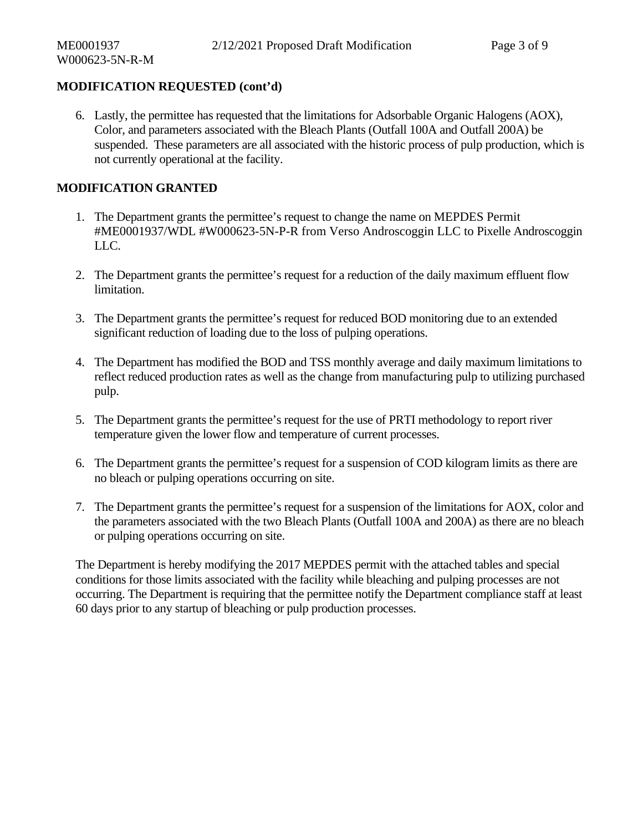# **MODIFICATION REQUESTED (cont'd)**

6. Lastly, the permittee has requested that the limitations for Adsorbable Organic Halogens (AOX), Color, and parameters associated with the Bleach Plants (Outfall 100A and Outfall 200A) be suspended. These parameters are all associated with the historic process of pulp production, which is not currently operational at the facility.

# **MODIFICATION GRANTED**

- 1. The Department grants the permittee's request to change the name on MEPDES Permit #ME0001937/WDL #W000623-5N-P-R from Verso Androscoggin LLC to Pixelle Androscoggin LLC.
- 2. The Department grants the permittee's request for a reduction of the daily maximum effluent flow limitation.
- 3. The Department grants the permittee's request for reduced BOD monitoring due to an extended significant reduction of loading due to the loss of pulping operations.
- 4. The Department has modified the BOD and TSS monthly average and daily maximum limitations to reflect reduced production rates as well as the change from manufacturing pulp to utilizing purchased pulp.
- 5. The Department grants the permittee's request for the use of PRTI methodology to report river temperature given the lower flow and temperature of current processes.
- 6. The Department grants the permittee's request for a suspension of COD kilogram limits as there are no bleach or pulping operations occurring on site.
- 7. The Department grants the permittee's request for a suspension of the limitations for AOX, color and the parameters associated with the two Bleach Plants (Outfall 100A and 200A) as there are no bleach or pulping operations occurring on site.

The Department is hereby modifying the 2017 MEPDES permit with the attached tables and special conditions for those limits associated with the facility while bleaching and pulping processes are not occurring. The Department is requiring that the permittee notify the Department compliance staff at least 60 days prior to any startup of bleaching or pulp production processes.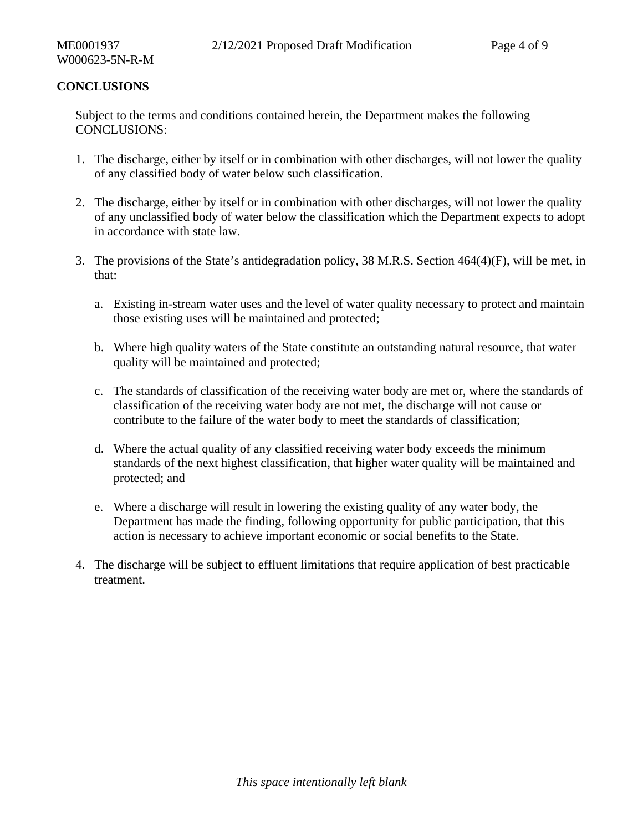# **CONCLUSIONS**

Subject to the terms and conditions contained herein, the Department makes the following CONCLUSIONS:

- 1. The discharge, either by itself or in combination with other discharges, will not lower the quality of any classified body of water below such classification.
- 2. The discharge, either by itself or in combination with other discharges, will not lower the quality of any unclassified body of water below the classification which the Department expects to adopt in accordance with state law.
- 3. The provisions of the State's antidegradation policy, 38 M.R.S. Section 464(4)(F), will be met, in that:
	- a. Existing in-stream water uses and the level of water quality necessary to protect and maintain those existing uses will be maintained and protected;
	- b. Where high quality waters of the State constitute an outstanding natural resource, that water quality will be maintained and protected;
	- c. The standards of classification of the receiving water body are met or, where the standards of classification of the receiving water body are not met, the discharge will not cause or contribute to the failure of the water body to meet the standards of classification;
	- d. Where the actual quality of any classified receiving water body exceeds the minimum standards of the next highest classification, that higher water quality will be maintained and protected; and
	- e. Where a discharge will result in lowering the existing quality of any water body, the Department has made the finding, following opportunity for public participation, that this action is necessary to achieve important economic or social benefits to the State.
- 4. The discharge will be subject to effluent limitations that require application of best practicable treatment.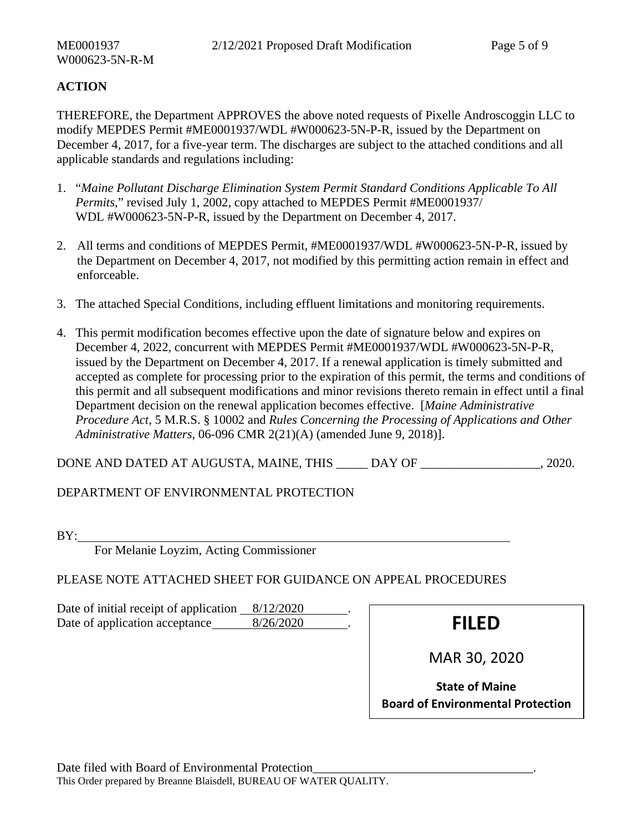# **ACTION**

THEREFORE, the Department APPROVES the above noted requests of Pixelle Androscoggin LLC to modify MEPDES Permit #ME0001937/WDL #W000623-5N-P-R, issued by the Department on December 4, 2017, for a five-year term. The discharges are subject to the attached conditions and all applicable standards and regulations including:

- 1. "*Maine Pollutant Discharge Elimination System Permit Standard Conditions Applicable To All Permits*," revised July 1, 2002, copy attached to MEPDES Permit #ME0001937/ WDL #W000623-5N-P-R, issued by the Department on December 4, 2017.
- 2. All terms and conditions of MEPDES Permit, #ME0001937/WDL #W000623-5N-P-R, issued by the Department on December 4, 2017, not modified by this permitting action remain in effect and enforceable.
- 3. The attached Special Conditions, including effluent limitations and monitoring requirements.
- 4. This permit modification becomes effective upon the date of signature below and expires on December 4, 2022, concurrent with MEPDES Permit #ME0001937/WDL #W000623-5N-P-R, issued by the Department on December 4, 2017. If a renewal application is timely submitted and accepted as complete for processing prior to the expiration of this permit, the terms and conditions of this permit and all subsequent modifications and minor revisions thereto remain in effect until a final Department decision on the renewal application becomes effective. [*Maine Administrative Procedure Act*, 5 M.R.S. § 10002 and *Rules Concerning the Processing of Applications and Other Administrative Matters*, 06-096 CMR 2(21)(A) (amended June 9, 2018)].

DONE AND DATED AT AUGUSTA, MAINE, THIS \_\_\_\_\_\_\_\_ DAY OF . 2020.

DEPARTMENT OF ENVIRONMENTAL PROTECTION

BY:

For Melanie Loyzim, Acting Commissioner

PLEASE NOTE ATTACHED SHEET FOR GUIDANCE ON APPEAL PROCEDURES

Date of initial receipt of application 8/12/2020 Date of application acceptance 8/26/2020 . **FILED** 

MAR 30, 2020

**State of Maine Board of Environmental Protection**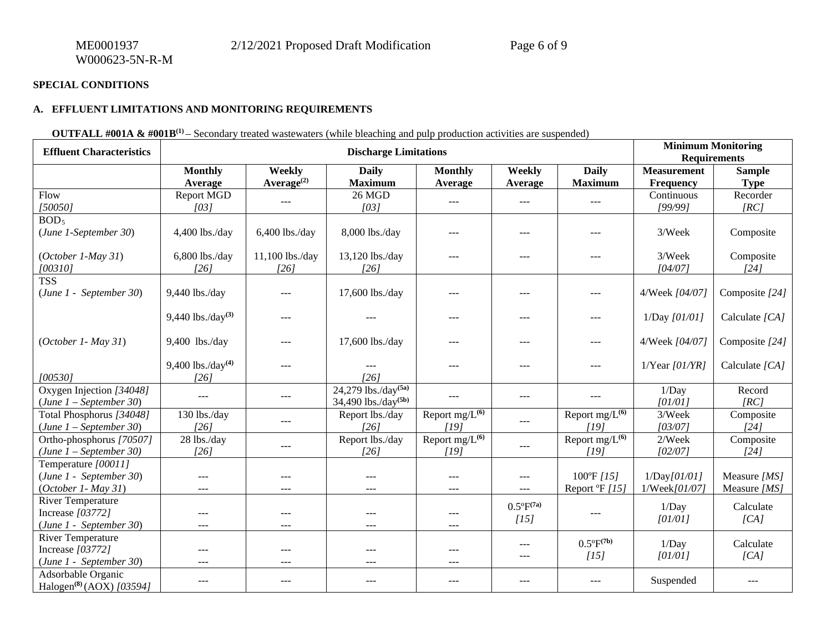#### **A. EFFLUENT LIMITATIONS AND MONITORING REQUIREMENTS**

## **OUTFALL #001A & #001B<sup>(1)</sup>** – Secondary treated wastewaters (while bleaching and pulp production activities are suspended)

| <b>Effluent Characteristics</b>                                          | <b>Discharge Limitations</b> |                                  |                                                                |                                    |                               |                                       | <b>Minimum Monitoring</b><br><b>Requirements</b> |                              |
|--------------------------------------------------------------------------|------------------------------|----------------------------------|----------------------------------------------------------------|------------------------------------|-------------------------------|---------------------------------------|--------------------------------------------------|------------------------------|
|                                                                          | <b>Monthly</b><br>Average    | Weekly<br>Average <sup>(2)</sup> | <b>Daily</b><br><b>Maximum</b>                                 | <b>Monthly</b><br>Average          | Weekly<br>Average             | <b>Daily</b><br><b>Maximum</b>        | <b>Measurement</b><br><b>Frequency</b>           | <b>Sample</b><br><b>Type</b> |
| Flow<br>[50050]                                                          | Report MGD<br>[03]           | $---$                            | 26 MGD<br>[03]                                                 | $---$                              | $---$                         | $---$                                 | Continuous<br>[99/99]                            | Recorder<br>[RC]             |
| BOD <sub>5</sub><br>$(June 1-September 30)$                              | 4,400 lbs./day               | 6,400 lbs./day                   | 8,000 lbs./day                                                 | $---$                              | $\cdots$                      | $\cdots$                              | 3/Week                                           | Composite                    |
| $(October 1-May 31)$<br>[00310]                                          | 6,800 lbs./day<br>[26]       | 11,100 lbs./day<br>[26]          | 13,120 lbs./day<br>[26]                                        | ---                                | $---$                         | $---$                                 | 3/Week<br>[04/07]                                | Composite<br>[24]            |
| <b>TSS</b><br>(June 1 - September 30)                                    | 9,440 lbs./day               |                                  | 17,600 lbs./day                                                | ---                                | ---                           | ---                                   | 4/Week [04/07]                                   | Composite [24]               |
|                                                                          | 9,440 lbs./day(3)            | ---                              |                                                                | $---$                              | ---                           | $\cdots$                              | 1/Day [01/01]                                    | Calculate [CA]               |
| $(October 1 - May 31)$                                                   | 9,400 lbs./day               | $---$                            | 17,600 lbs./day                                                | ---                                | $---$                         | $---$                                 | 4/Week [04/07]                                   | Composite [24]               |
| [00530]                                                                  | 9,400 lbs./day(4)<br>$[26]$  | ---                              | [26]                                                           | $---$                              | ---                           | $\cdots$                              | $1$ /Year [ $01$ /YR]                            | Calculate [CA]               |
| Oxygen Injection [34048]<br>$(June 1 - September 30)$                    | $---$                        | $---$                            | 24,279 lbs./ $day^{(5a)}$<br>$34,490$ lbs./day <sup>(5b)</sup> | $---$                              | $---$                         | $---$                                 | 1/Day<br>[01/01]                                 | Record<br>[RC]               |
| Total Phosphorus [34048]<br>$(June 1 - September 30)$                    | 130 lbs./day<br>[26]         | $- - -$                          | Report lbs./day<br>[26]                                        | Report $mg/L^{(6)}$<br>[19]        | $---$                         | Report mg/L <sup>(6)</sup><br>[19]    | 3/Week<br>[03/07]                                | Composite<br>[24]            |
| Ortho-phosphorus [70507]<br>$(June 1 - September 30)$                    | 28 lbs./day<br>[26]          | $---$                            | Report lbs./day<br>[26]                                        | Report mg/L <sup>(6)</sup><br>[19] | $---$                         | Report $mg/L^{(6)}$<br>[19]           | 2/Week<br>[02/07]                                | Composite<br>$[24]$          |
| Temperature [00011]<br>(June 1 - September 30)<br>$(October 1 - May 31)$ |                              |                                  | ---<br>---                                                     | $---$<br>---                       | $---$<br>---                  | 100°F [15]<br>Report $\mathrm{P}[15]$ | 1/Day[01/01]<br>1/Week[01/07]                    | Measure [MS]<br>Measure [MS] |
| <b>River Temperature</b><br>Increase [03772]<br>(June 1 - September 30)  | $---$                        | $---$                            | $---$                                                          | ---<br>$---$                       | $0.5^{\circ}F^{(7a)}$<br>[15] | $---$                                 | 1/Day<br>[01/01]                                 | Calculate<br>[CA]            |
| <b>River Temperature</b><br>Increase [03772]<br>(June 1 - September 30)  | $---$<br>$\frac{1}{2}$       | ---<br>$---$                     | ---<br>$---$                                                   | ---<br>$---$                       | $---$<br>---                  | $0.5^{\circ}F^{(7b)}$<br>[15]         | 1/Day<br>[01/01]                                 | Calculate<br>[CA]            |
| Adsorbable Organic<br>Halogen <sup>(8)</sup> (AOX) [03594]               | $- - -$                      | $- - -$                          | $---$                                                          | $---$                              | $- - -$                       | $\cdots$                              | Suspended                                        | $---$                        |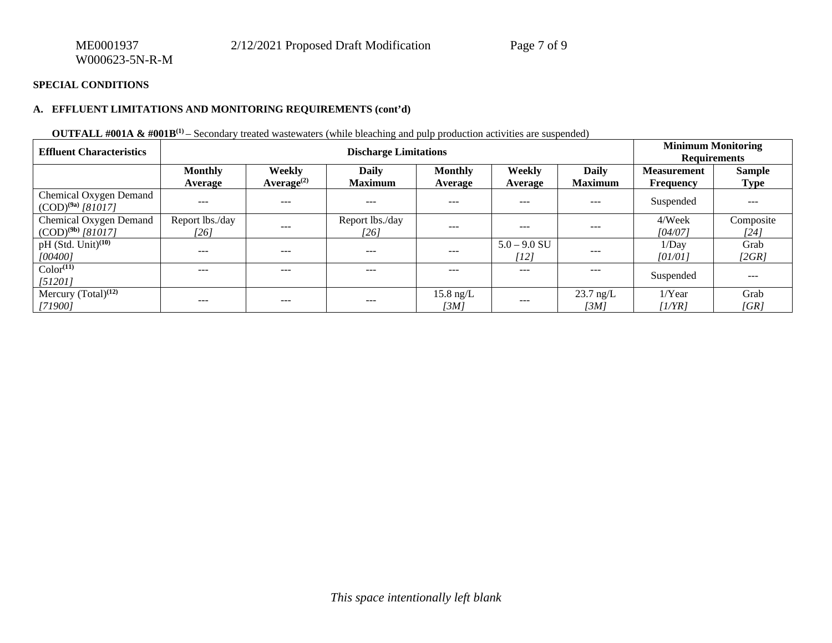#### **A. EFFLUENT LIMITATIONS AND MONITORING REQUIREMENTS (cont'd)**

## **OUTFALL #001A & #001B<sup>(1)</sup>** – Secondary treated wastewaters (while bleaching and pulp production activities are suspended)

| <b>Effluent Characteristics</b>                         | <b>Discharge Limitations</b> |                                         |                                |                             |                        |                                | <b>Minimum Monitoring</b><br><b>Requirements</b> |                              |
|---------------------------------------------------------|------------------------------|-----------------------------------------|--------------------------------|-----------------------------|------------------------|--------------------------------|--------------------------------------------------|------------------------------|
|                                                         | <b>Monthly</b><br>Average    | <b>Weekly</b><br>Average <sup>(2)</sup> | <b>Daily</b><br><b>Maximum</b> | <b>Monthly</b><br>Average   | Weekly<br>Average      | <b>Daily</b><br><b>Maximum</b> | <b>Measurement</b><br>Frequency                  | <b>Sample</b><br><b>Type</b> |
| <b>Chemical Oxygen Demand</b><br>$(COD)^{(9a)}$ [81017] | $---$                        | $---$                                   | $---$                          | $---$                       | ---                    | $---$                          | Suspended                                        | $- - -$                      |
| <b>Chemical Oxygen Demand</b><br>$(COD)^{(9b)}$ [81017] | Report lbs./day<br>[26]      | $---$                                   | Report lbs./day<br>[26]        | $---$                       | $---$                  | $---$                          | 4/Week<br>[04/07]                                | Composite<br>[24]            |
| $pH$ (Std. Unit) <sup>(10)</sup><br>[00400]             | $- - -$                      | $- - -$                                 | $---$                          | $---$                       | $5.0 - 9.0$ SU<br>[12] | ---                            | 1/Day<br>[01/01]                                 | Grab<br>[2GR]                |
| $Color^{(11)}$<br>[51201]                               | $---$                        | $---$                                   | $---$                          | $---$                       | ---                    | ---                            | Suspended                                        | $- - -$                      |
| Mercury $(Total)^{(12)}$<br>[71900]                     | $---$                        | $- - -$                                 | $- - -$                        | $15.8 \text{ ng/L}$<br>[3M] | $- - -$                | $23.7 \text{ ng/L}$<br>[3M]    | $1$ /Year<br>[1/YR]                              | Grab<br>[GR]                 |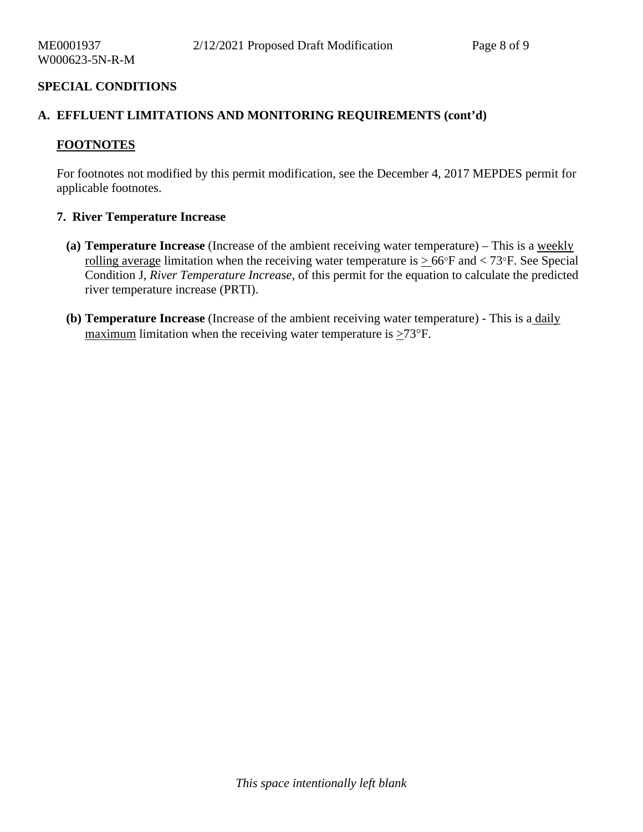## **A. EFFLUENT LIMITATIONS AND MONITORING REQUIREMENTS (cont'd)**

## **FOOTNOTES**

For footnotes not modified by this permit modification, see the December 4, 2017 MEPDES permit for applicable footnotes.

## **7. River Temperature Increase**

- **(a) Temperature Increase** (Increase of the ambient receiving water temperature) This is a weekly rolling average limitation when the receiving water temperature is  $> 66^{\circ}$ F and  $< 73^{\circ}$ F. See Special Condition J*, River Temperature Increase*, of this permit for the equation to calculate the predicted river temperature increase (PRTI).
- **(b) Temperature Increase** (Increase of the ambient receiving water temperature) This is a daily maximum limitation when the receiving water temperature is  $\geq 73^{\circ}$ F.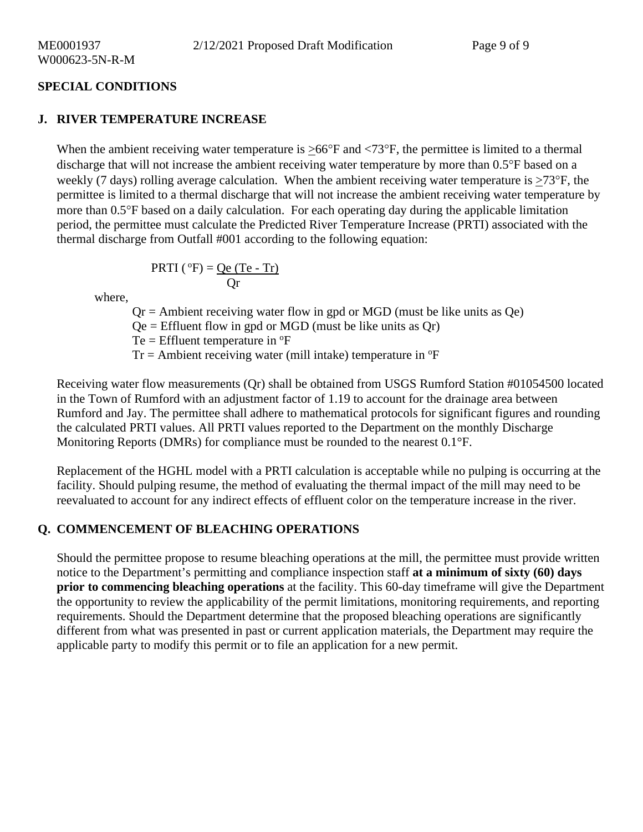## **J. RIVER TEMPERATURE INCREASE**

When the ambient receiving water temperature is  $\geq 66^{\circ}$ F and  $\lt 73^{\circ}$ F, the permittee is limited to a thermal discharge that will not increase the ambient receiving water temperature by more than 0.5°F based on a weekly (7 days) rolling average calculation. When the ambient receiving water temperature is >73°F, the permittee is limited to a thermal discharge that will not increase the ambient receiving water temperature by more than 0.5°F based on a daily calculation. For each operating day during the applicable limitation period, the permittee must calculate the Predicted River Temperature Increase (PRTI) associated with the thermal discharge from Outfall #001 according to the following equation:

$$
PRTI(^{o}F) = \frac{Qe (Te - Tr)}{Qr}
$$

where,

 $Qr =$  Ambient receiving water flow in gpd or MGD (must be like units as  $Qe$ )

 $Qe =$  Effluent flow in gpd or MGD (must be like units as  $Qr$ )

 $Te = Eff$ luent temperature in  ${}^{o}F$ 

 $Tr =$  Ambient receiving water (mill intake) temperature in  ${}^{\circ}F$ 

Receiving water flow measurements (Qr) shall be obtained from USGS Rumford Station #01054500 located in the Town of Rumford with an adjustment factor of 1.19 to account for the drainage area between Rumford and Jay. The permittee shall adhere to mathematical protocols for significant figures and rounding the calculated PRTI values. All PRTI values reported to the Department on the monthly Discharge Monitoring Reports (DMRs) for compliance must be rounded to the nearest 0.1°F.

Replacement of the HGHL model with a PRTI calculation is acceptable while no pulping is occurring at the facility. Should pulping resume, the method of evaluating the thermal impact of the mill may need to be reevaluated to account for any indirect effects of effluent color on the temperature increase in the river.

## **Q. COMMENCEMENT OF BLEACHING OPERATIONS**

Should the permittee propose to resume bleaching operations at the mill, the permittee must provide written notice to the Department's permitting and compliance inspection staff **at a minimum of sixty (60) days prior to commencing bleaching operations** at the facility. This 60-day timeframe will give the Department the opportunity to review the applicability of the permit limitations, monitoring requirements, and reporting requirements. Should the Department determine that the proposed bleaching operations are significantly different from what was presented in past or current application materials, the Department may require the applicable party to modify this permit or to file an application for a new permit.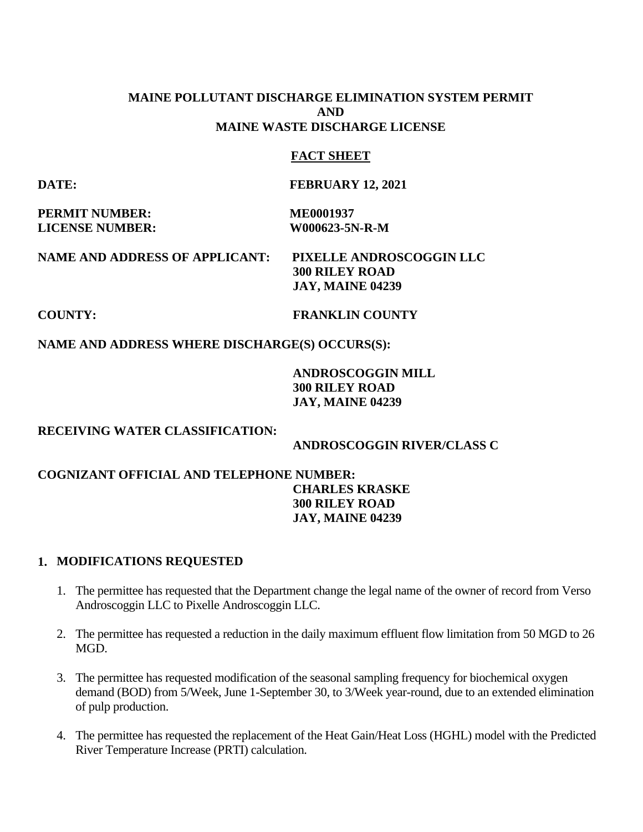# **MAINE POLLUTANT DISCHARGE ELIMINATION SYSTEM PERMIT AND MAINE WASTE DISCHARGE LICENSE**

# **FACT SHEET**

**DATE: FEBRUARY 12, 2021** 

**PERMIT NUMBER:** ME0001937 **LICENSE NUMBER: W000623-5N-R-M** 

**NAME AND ADDRESS OF APPLICANT: PIXELLE ANDROSCOGGIN LLC 300 RILEY ROAD JAY, MAINE 04239** 

## **COUNTY: FRANKLIN COUNTY**

# **NAME AND ADDRESS WHERE DISCHARGE(S) OCCURS(S):**

# **ANDROSCOGGIN MILL 300 RILEY ROAD JAY, MAINE 04239**

## **RECEIVING WATER CLASSIFICATION:**

 **ANDROSCOGGIN RIVER/CLASS C**

# **COGNIZANT OFFICIAL AND TELEPHONE NUMBER: CHARLES KRASKE 300 RILEY ROAD JAY, MAINE 04239**

## **1. MODIFICATIONS REQUESTED**

- 1. The permittee has requested that the Department change the legal name of the owner of record from Verso Androscoggin LLC to Pixelle Androscoggin LLC.
- 2. The permittee has requested a reduction in the daily maximum effluent flow limitation from 50 MGD to 26 MGD.
- 3. The permittee has requested modification of the seasonal sampling frequency for biochemical oxygen demand (BOD) from 5/Week, June 1-September 30, to 3/Week year-round, due to an extended elimination of pulp production.
- 4. The permittee has requested the replacement of the Heat Gain/Heat Loss (HGHL) model with the Predicted River Temperature Increase (PRTI) calculation.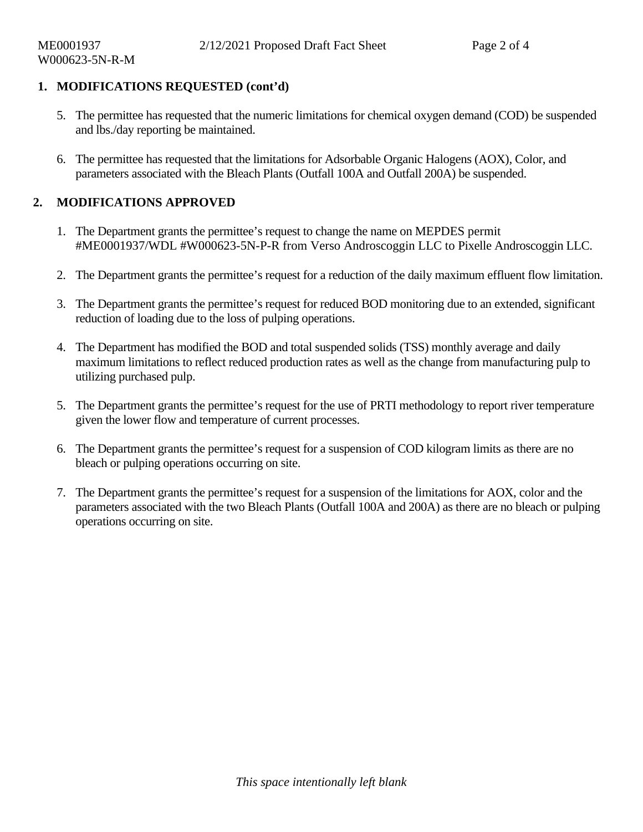# **1. MODIFICATIONS REQUESTED (cont'd)**

- 5. The permittee has requested that the numeric limitations for chemical oxygen demand (COD) be suspended and lbs./day reporting be maintained.
- 6. The permittee has requested that the limitations for Adsorbable Organic Halogens (AOX), Color, and parameters associated with the Bleach Plants (Outfall 100A and Outfall 200A) be suspended.

# **2. MODIFICATIONS APPROVED**

- 1. The Department grants the permittee's request to change the name on MEPDES permit #ME0001937/WDL #W000623-5N-P-R from Verso Androscoggin LLC to Pixelle Androscoggin LLC.
- 2. The Department grants the permittee's request for a reduction of the daily maximum effluent flow limitation.
- 3. The Department grants the permittee's request for reduced BOD monitoring due to an extended, significant reduction of loading due to the loss of pulping operations.
- 4. The Department has modified the BOD and total suspended solids (TSS) monthly average and daily maximum limitations to reflect reduced production rates as well as the change from manufacturing pulp to utilizing purchased pulp.
- 5. The Department grants the permittee's request for the use of PRTI methodology to report river temperature given the lower flow and temperature of current processes.
- 6. The Department grants the permittee's request for a suspension of COD kilogram limits as there are no bleach or pulping operations occurring on site.
- 7. The Department grants the permittee's request for a suspension of the limitations for AOX, color and the parameters associated with the two Bleach Plants (Outfall 100A and 200A) as there are no bleach or pulping operations occurring on site.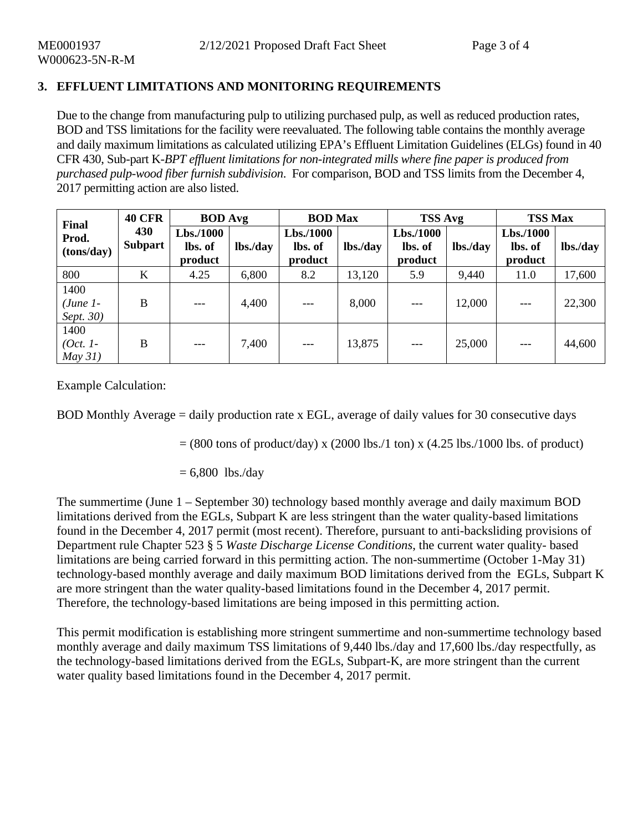# **3. EFFLUENT LIMITATIONS AND MONITORING REQUIREMENTS**

Due to the change from manufacturing pulp to utilizing purchased pulp, as well as reduced production rates, BOD and TSS limitations for the facility were reevaluated. The following table contains the monthly average and daily maximum limitations as calculated utilizing EPA's Effluent Limitation Guidelines (ELGs) found in 40 CFR 430, Sub-part K-*BPT effluent limitations for non-integrated mills where fine paper is produced from purchased pulp-wood fiber furnish subdivision*. For comparison, BOD and TSS limits from the December 4, 2017 permitting action are also listed.

| Final<br>Prod.<br>(tons/day)     | <b>40 CFR</b>         | <b>BOD</b> Avg                 |          | <b>BOD</b> Max                 |          | <b>TSS Avg</b>                  |          | <b>TSS Max</b>                  |          |
|----------------------------------|-----------------------|--------------------------------|----------|--------------------------------|----------|---------------------------------|----------|---------------------------------|----------|
|                                  | 430<br><b>Subpart</b> | Lbs.1000<br>lbs. of<br>product | lbs./day | Lbs.1000<br>lbs. of<br>product | lbs./day | Lbs./1000<br>lbs. of<br>product | lbs./day | Lbs./1000<br>lbs. of<br>product | lbs./day |
| 800                              | $\bf K$               | 4.25                           | 6,800    | 8.2                            | 13,120   | 5.9                             | 9,440    | 11.0                            | 17,600   |
| 1400<br>$(June 1-)$<br>Sept. 30) | B                     |                                | 4,400    | $---$                          | 8,000    |                                 | 12,000   | $---$                           | 22,300   |
| 1400<br>$(Oct. 1-$<br>$May\,31)$ | B                     | $---$                          | 7,400    | $---$                          | 13,875   | $---$                           | 25,000   | $---$                           | 44,600   |

Example Calculation:

BOD Monthly Average = daily production rate x EGL, average of daily values for 30 consecutive days

 $= (800 \text{ tons of product/day}) \times (2000 \text{ lbs.}/1 \text{ ton}) \times (4.25 \text{ lbs.}/1000 \text{ lbs. of product})$ 

 $= 6,800$  lbs./day

The summertime (June 1 – September 30) technology based monthly average and daily maximum BOD limitations derived from the EGLs, Subpart K are less stringent than the water quality-based limitations found in the December 4, 2017 permit (most recent). Therefore, pursuant to anti-backsliding provisions of Department rule Chapter 523 § 5 *Waste Discharge License Conditions*, the current water quality- based limitations are being carried forward in this permitting action. The non-summertime (October 1-May 31) technology-based monthly average and daily maximum BOD limitations derived from the EGLs, Subpart K are more stringent than the water quality-based limitations found in the December 4, 2017 permit. Therefore, the technology-based limitations are being imposed in this permitting action.

This permit modification is establishing more stringent summertime and non-summertime technology based monthly average and daily maximum TSS limitations of 9,440 lbs./day and 17,600 lbs./day respectfully, as the technology-based limitations derived from the EGLs, Subpart-K, are more stringent than the current water quality based limitations found in the December 4, 2017 permit.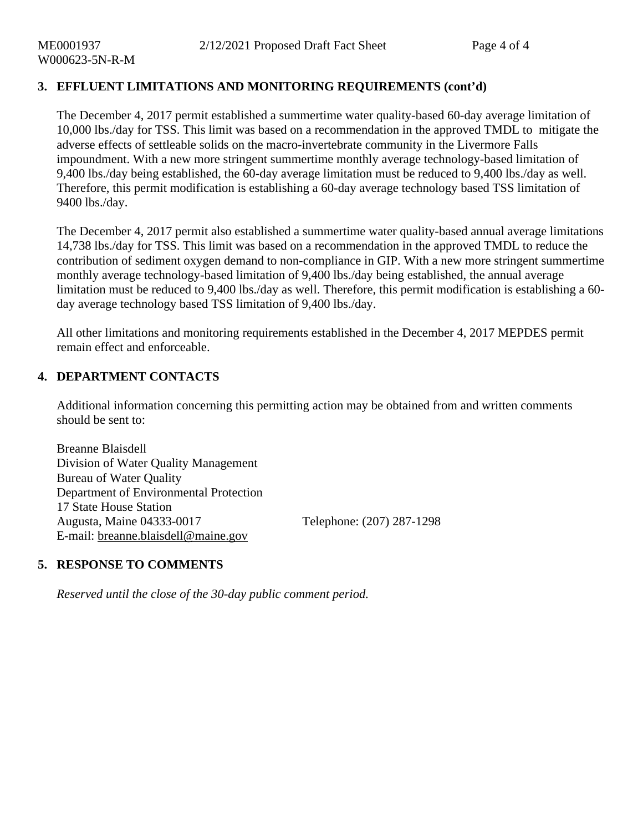# **3. EFFLUENT LIMITATIONS AND MONITORING REQUIREMENTS (cont'd)**

The December 4, 2017 permit established a summertime water quality-based 60-day average limitation of 10,000 lbs./day for TSS. This limit was based on a recommendation in the approved TMDL to mitigate the adverse effects of settleable solids on the macro-invertebrate community in the Livermore Falls impoundment. With a new more stringent summertime monthly average technology-based limitation of 9,400 lbs./day being established, the 60-day average limitation must be reduced to 9,400 lbs./day as well. Therefore, this permit modification is establishing a 60-day average technology based TSS limitation of 9400 lbs./day.

The December 4, 2017 permit also established a summertime water quality-based annual average limitations 14,738 lbs./day for TSS. This limit was based on a recommendation in the approved TMDL to reduce the contribution of sediment oxygen demand to non-compliance in GIP. With a new more stringent summertime monthly average technology-based limitation of 9,400 lbs./day being established, the annual average limitation must be reduced to 9,400 lbs./day as well. Therefore, this permit modification is establishing a 60 day average technology based TSS limitation of 9,400 lbs./day.

All other limitations and monitoring requirements established in the December 4, 2017 MEPDES permit remain effect and enforceable.

# **4. DEPARTMENT CONTACTS**

Additional information concerning this permitting action may be obtained from and written comments should be sent to:

Breanne Blaisdell Division of Water Quality Management Bureau of Water Quality Department of Environmental Protection 17 State House Station Augusta, Maine 04333-0017 Telephone: (207) 287-1298 E-mail: [breanne.blaisdell@maine.gov](mailto:breanne.blaisdell@maine.gov)

# **5. RESPONSE TO COMMENTS**

 *Reserved until the close of the 30-day public comment period.*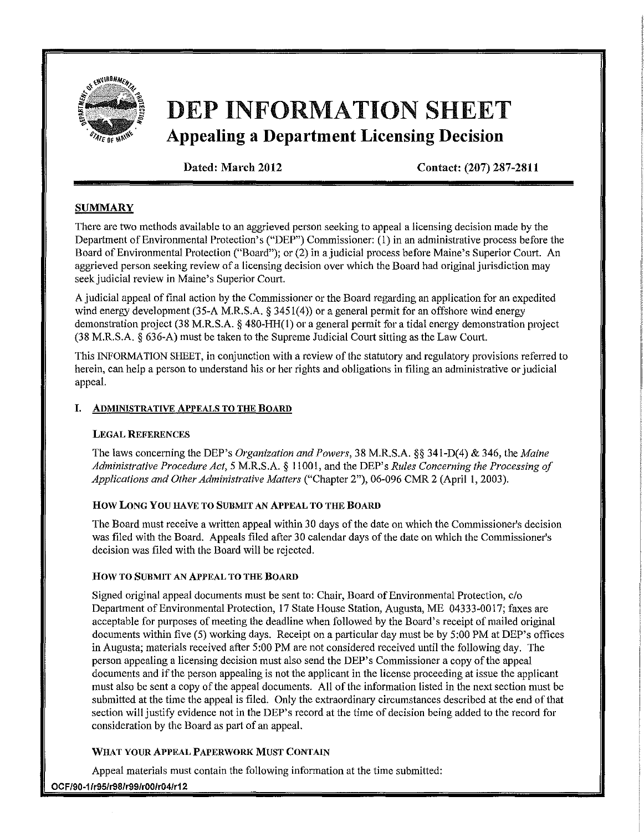

# DEP INFORMATION SHEET **Appealing a Department Licensing Decision**

Dated: March 2012 Contact: (207) 287-2811

## **SUMMARY**

There are two methods available to an aggrieved person seeking to appeal a licensing decision made by the Depattment of Environmental Protection's ("DEP") Commissioner: (1) in an administrative process before the Board of Environmental Protection ("Board"); or (2) in a judicial process before Maine's Superior Court. An aggrieved person seeking review of a licensing decision over which the Board had original jurisdiction may seek judicial review in Maine's Superior Comt.

A judicial appeal of final action by the Commissioner or the Board regarding an application for an expedited wind energy development (35-A M.R.S.A, § 3451(4)) or a general permit for an offshore wind energy demonstration project (38 M.R.S.A. § 480-HH(I) or a general permit for a tidal energy demonstration project (38 M.R.S.A. § 636-A) must be taken to the Supreme Judicial Court sitting as the Law Court.

This INFORMATION SHEET, in conjunction with a review of the statutory and regulatory provisions referred to herein, can help a person to understand his or her rights and obligations in filing an administrative or judicial appeal.

#### **I.** ADMINISTRATIVE ApPEALS TO THE BOARD

#### LEGAL REFERENCES

The laws concerning the DEP's *Organization and Powers,* 38 M.R.S.A. §§ 341-D(4) & 346, the *Maine Administrative Procedure Act,* 5 M.R.S.A. § 11001, and the DEP's *Rules Concerning the Processing of Applications and Other Administrative Matters* ("Chapter 2"), 06-096 CMR 2 (April 1,2003).

#### How LONG You HAVE TO SUBMIT AN APPEAL TO THE BOARD

The Board must receive a written appeal within 30 days of the date on which the Commissioner's decision was filed with the Board. Appeals filed after 30 calendar days of the date on which the Commissioner's decision was filed with the Board will be rejected.

#### How TO SUBMIT AN ApPEAL TO THE BOARD

Signed original appeal documents must be sent to: Chair, Board of Environmental Protection, c/o Depattment of Environmentai Protection, 17 State House Station, Augusta, ME 04333-0017; faxes are acceptable for purposes of meeting the deadline when followed by the Board's receipt of mailed original documents within five (5) working days. Receipt on a particular day must be by 5:00 PM at DEP's offices in Augusta; materials received after 5:00 PM are not considered received until the following day. The person appealing a licensing decision must also send the DEP's Commissioner a copy of the appeal documents and if the person appealing is not the applicant in the license proceeding at issue the applicant must also be sent a copy of the appeal documents. All of the information listed in the next section must be submitted at the time the appeal is filed. Only the extraordinary circumstances described at the end of that section will justify evidence not in the DEP's record at the time of decision being added to the record for consideration by the Board as part of an appeal.

#### WHAT YOUR ApPEAL PAPERWORK MUST CONTAIN

Appeal materials must contain the following information at the time submitted:

OCF/90-1/r95/r98/r99/rOO/r04/r12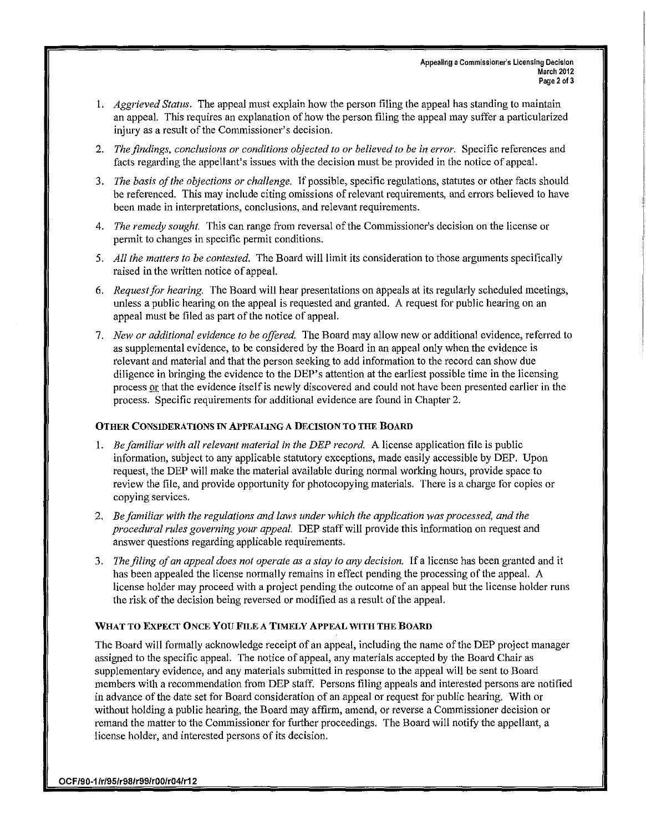- I. *Aggrieved Status.* The appeal must explain how the person filing the appeal has standing to maintain an appeal. This requires an explanation of how the person filing the appeal may suffer a particularized injury as a result of the Commissioner's decision.
- *2. The findings. conclusions or conditions objected to or believed to be in error.* Specific references and facts regarding the appellant's issues with the decision must be provided in the notice of appeal.
- *3. The basis of the objections or challenge.* If possible, specific regulations, statutes or other facts should be referenced. This may include citing omissions of relevant requirements, and errors believed to have been made in interpretations, conclusions, and relevant requirements.
- 4. *The remedy sought.* This can range from reversal of the Commissioner's decision on the license or permit to changes in specific permit conditions.
- 5. *All the matters to be contested.* The Board will limit its consideration to those arguments specifically raised in the written notice of appeal.
- *6. Requestfor hearing.* The Board will hear presentations on appeals at its regularly scheduled meetings, unless a public hearing on the appeal is requested and granted. A request for public hearing on an appeal must be filed as part of the notice of appeal.
- *7. New or additional evidence to be offered.* The Board may allow new or additional evidence, referred to as supplemental evidence, to be considered by the Board in an appeal only when the evidence is relevant and material and that the person seeking to add information to the record can show due diligence in bringing the evidence to the DEP's attention at the earliest possible time in the licensing process or that the evidence itselfis newly discovered and could not have been presented earlier in the process. Specific requirements for additional evidence are found in Chapter 2.

#### OTHER CONSIDERATIONS IN APPEALING A DECISION TO THE BOARD

- *1. Be familiar with all relevant material in the DEP record.* A license application file is public information, subject to any applicable statutory exceptions, made easily accessible by DEP. Upon request, the DEP will make the material available during normal working hours, provide space to review the file, and provide opportunity for photocopying materials. There is a charge for copies or copying services.
- *2. Be familiar with the regulations and laws under which the application was processed. and the procedural rules governing your appeal.* DEP staff will provide this information on request and answer questions regarding applicable requirements.
- *3. The filing of an appeal does nol operate as a stay to any decision.* If a license has been granted and it has been appealed the license normally remains in effect pending the processing of the appeal. A license holder may proceed with a project pending the outcome of an appeal but the license holder runs the risk of the decision being reversed or modified as a result of the appeal.

#### WHAT TO EXPECT ONCE You FILE A TIMELY ApPEAL WITH THE BOARD

The Board will formally acknowledge receipt of an appeal, including the name of the DEP project manager assigned to the specific appeal. The notice of appeal, any materials accepted by the Board Chair as supplementary evidence, and any materials submitted in response to the appeal will be sent to Board members with a recommendation from DEP staff. Persons filing appeals and interested persons are notified in advance of the date set for Board consideration of an appeal or request for public hearing. With or without holding a public hearing, the Board may affirm, amend, or reverse a Commissioner decision or remand the matter to the Commissioner for further proceedings. The Board will notify the appellant, a license holder, and interested persons of its decision.